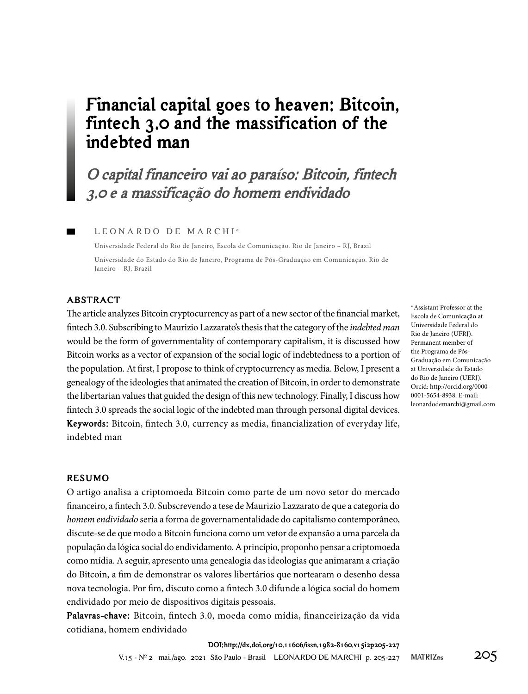## **Financial capital goes to heaven: Bitcoin, fintech 3.0 and the massification of the indebted man**

# **O capital financeiro vai ao paraíso: Bitcoin, fintech 3.0 e a massificação do homem endividado**

#### LEONARDO DE MARCHI<sup>a</sup>

Universidade Federal do Rio de Janeiro, Escola de Comunicação. Rio de Janeiro – RJ, Brazil Universidade do Estado do Rio de Janeiro, Programa de Pós-Graduação em Comunicação. Rio de Janeiro – RJ, Brazil

### **ABSTRACT**

The article analyzes Bitcoin cryptocurrency as part of a new sector of the financial market, fintech 3.0. Subscribing to Maurizio Lazzarato's thesis that the category of the *indebted man*  would be the form of governmentality of contemporary capitalism, it is discussed how Bitcoin works as a vector of expansion of the social logic of indebtedness to a portion of the population. At first, I propose to think of cryptocurrency as media. Below, I present a genealogy of the ideologies that animated the creation of Bitcoin, in order to demonstrate the libertarian values that guided the design of this new technology. Finally, I discuss how fintech 3.0 spreads the social logic of the indebted man through personal digital devices. **Keywords:** Bitcoin, fintech 3.0, currency as media, financialization of everyday life, indebted man

<sup>a</sup> Assistant Professor at the Escola de Comunicação at Universidade Federal do Rio de Janeiro (UFRJ). Permanent member of the Programa de Pós-Graduação em Comunicação at Universidade do Estado do Rio de Janeiro (UERJ). Orcid: http://orcid.org/0000- 0001-5654-8938. E-mail: leonardodemarchi@gmail.com

#### **RESUMO**

O artigo analisa a criptomoeda Bitcoin como parte de um novo setor do mercado financeiro, a fintech 3.0. Subscrevendo a tese de Maurizio Lazzarato de que a categoria do *homem endividado* seria a forma de governamentalidade do capitalismo contemporâneo, discute-se de que modo a Bitcoin funciona como um vetor de expansão a uma parcela da população da lógica social do endividamento. A princípio, proponho pensar a criptomoeda como mídia. A seguir, apresento uma genealogia das ideologias que animaram a criação do Bitcoin, a fim de demonstrar os valores libertários que nortearam o desenho dessa nova tecnologia. Por fim, discuto como a fintech 3.0 difunde a lógica social do homem endividado por meio de dispositivos digitais pessoais.

**Palavras-chave:** Bitcoin, fintech 3.0, moeda como mídia, financeirização da vida cotidiana, homem endividado

> V.15 -  $N^{\circ}$  2 mai./ago. 2021 São Paulo - Brasil LEONARDO DE MARCHI p. 205-227 MATRIZes 205 **DOI: http://dx.doi.org/10.11606/issn.1982-8160.v15i2p205-227**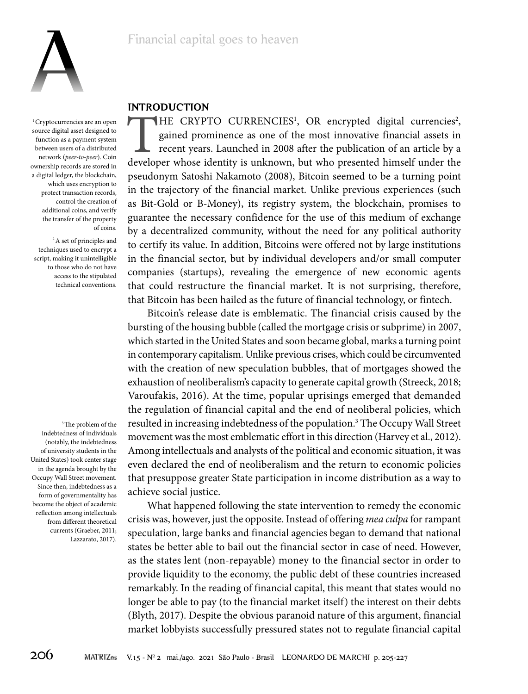

<sup>1</sup> Cryptocurrencies are an open source digital asset designed to function as a payment system between users of a distributed network (*peer-to-peer*). Coin ownership records are stored in a digital ledger, the blockchain, which uses encryption to protect transaction records, control the creation of additional coins, and verify the transfer of the property of coins.

<sup>2</sup> A set of principles and techniques used to encrypt a script, making it unintelligible to those who do not have access to the stipulated technical conventions.

<sup>3</sup>The problem of the indebtedness of individuals (notably, the indebtedness of university students in the United States) took center stage in the agenda brought by the Occupy Wall Street movement. Since then, indebtedness as a form of governmentality has become the object of academic reflection among intellectuals from different theoretical currents (Graeber, 2011; Lazzarato, 2017).

### **INTRODUCTION**

THE CRYPTO CURRENCIES<sup>1</sup>, OR encrypted digital currencies<sup>2</sup>, gained prominence as one of the most innovative financial assets in recent years. Launched in 2008 after the publication of an article by a developer whose iden , OR encrypted digital currencies<sup>2</sup>, gained prominence as one of the most innovative financial assets in recent years. Launched in 2008 after the publication of an article by a pseudonym Satoshi Nakamoto (2008), Bitcoin seemed to be a turning point in the trajectory of the financial market. Unlike previous experiences (such as Bit-Gold or B-Money), its registry system, the blockchain, promises to guarantee the necessary confidence for the use of this medium of exchange by a decentralized community, without the need for any political authority to certify its value. In addition, Bitcoins were offered not by large institutions in the financial sector, but by individual developers and/or small computer companies (startups), revealing the emergence of new economic agents that could restructure the financial market. It is not surprising, therefore, that Bitcoin has been hailed as the future of financial technology, or fintech.

Bitcoin's release date is emblematic. The financial crisis caused by the bursting of the housing bubble (called the mortgage crisis or subprime) in 2007, which started in the United States and soon became global, marks a turning point in contemporary capitalism. Unlike previous crises, which could be circumvented with the creation of new speculation bubbles, that of mortgages showed the exhaustion of neoliberalism's capacity to generate capital growth (Streeck, 2018; Varoufakis, 2016). At the time, popular uprisings emerged that demanded the regulation of financial capital and the end of neoliberal policies, which resulted in increasing indebtedness of the population.<sup>3</sup> The Occupy Wall Street movement was the most emblematic effort in this direction (Harvey et al., 2012). Among intellectuals and analysts of the political and economic situation, it was even declared the end of neoliberalism and the return to economic policies that presuppose greater State participation in income distribution as a way to achieve social justice.

What happened following the state intervention to remedy the economic crisis was, however, just the opposite. Instead of offering *mea culpa* for rampant speculation, large banks and financial agencies began to demand that national states be better able to bail out the financial sector in case of need. However, as the states lent (non-repayable) money to the financial sector in order to provide liquidity to the economy, the public debt of these countries increased remarkably. In the reading of financial capital, this meant that states would no longer be able to pay (to the financial market itself) the interest on their debts (Blyth, 2017). Despite the obvious paranoid nature of this argument, financial market lobbyists successfully pressured states not to regulate financial capital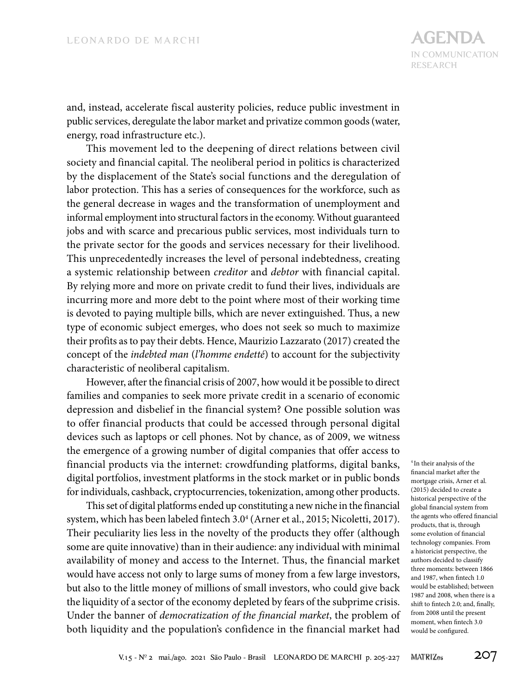and, instead, accelerate fiscal austerity policies, reduce public investment in public services, deregulate the labor market and privatize common goods (water, energy, road infrastructure etc.).

This movement led to the deepening of direct relations between civil society and financial capital. The neoliberal period in politics is characterized by the displacement of the State's social functions and the deregulation of labor protection. This has a series of consequences for the workforce, such as the general decrease in wages and the transformation of unemployment and informal employment into structural factors in the economy. Without guaranteed jobs and with scarce and precarious public services, most individuals turn to the private sector for the goods and services necessary for their livelihood. This unprecedentedly increases the level of personal indebtedness, creating a systemic relationship between *creditor* and *debtor* with financial capital. By relying more and more on private credit to fund their lives, individuals are incurring more and more debt to the point where most of their working time is devoted to paying multiple bills, which are never extinguished. Thus, a new type of economic subject emerges, who does not seek so much to maximize their profits as to pay their debts. Hence, Maurizio Lazzarato (2017) created the concept of the *indebted man* (*l'homme endetté*) to account for the subjectivity characteristic of neoliberal capitalism.

However, after the financial crisis of 2007, how would it be possible to direct families and companies to seek more private credit in a scenario of economic depression and disbelief in the financial system? One possible solution was to offer financial products that could be accessed through personal digital devices such as laptops or cell phones. Not by chance, as of 2009, we witness the emergence of a growing number of digital companies that offer access to financial products via the internet: crowdfunding platforms, digital banks, digital portfolios, investment platforms in the stock market or in public bonds for individuals, cashback, cryptocurrencies, tokenization, among other products.

This set of digital platforms ended up constituting a new niche in the financial system, which has been labeled fintech 3.0<sup>4</sup> (Arner et al., 2015; Nicoletti, 2017). Their peculiarity lies less in the novelty of the products they offer (although some are quite innovative) than in their audience: any individual with minimal availability of money and access to the Internet. Thus, the financial market would have access not only to large sums of money from a few large investors, but also to the little money of millions of small investors, who could give back the liquidity of a sector of the economy depleted by fears of the subprime crisis. Under the banner of *democratization of the financial market*, the problem of both liquidity and the population's confidence in the financial market had

<sup>4</sup> In their analysis of the financial market after the mortgage crisis, Arner et al. (2015) decided to create a historical perspective of the global financial system from the agents who offered financial products, that is, through some evolution of financial technology companies. From a historicist perspective, the authors decided to classify three moments: between 1866 and 1987, when fintech 1.0 would be established; between 1987 and 2008, when there is a shift to fintech 2.0; and, finally, from 2008 until the present moment, when fintech 3.0 would be configured.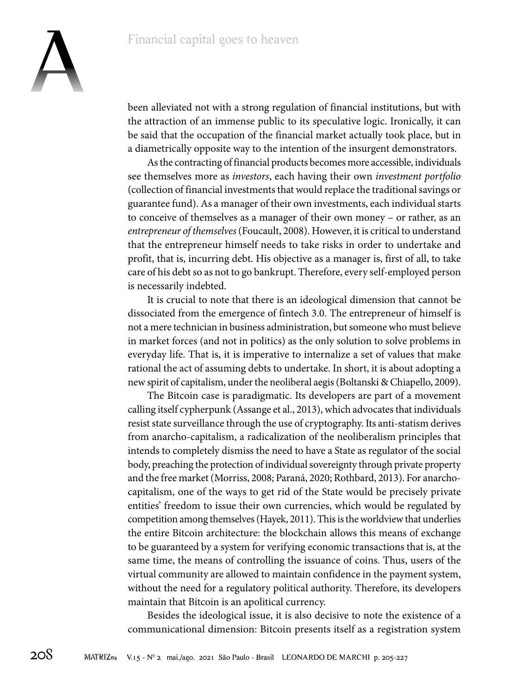

been alleviated not with a strong regulation of financial institutions, but with the attraction of an immense public to its speculative logic. Ironically, it can be said that the occupation of the financial market actually took place, but in a diametrically opposite way to the intention of the insurgent demonstrators.

As the contracting of financial products becomes more accessible, individuals see themselves more as *investors*, each having their own *investment portfolio*  (collection of financial investments that would replace the traditional savings or guarantee fund). As a manager of their own investments, each individual starts to conceive of themselves as a manager of their own money – or rather, as an *entrepreneur of themselves* (Foucault, 2008). However, it is critical to understand that the entrepreneur himself needs to take risks in order to undertake and profit, that is, incurring debt. His objective as a manager is, first of all, to take care of his debt so as not to go bankrupt. Therefore, every self-employed person is necessarily indebted.

It is crucial to note that there is an ideological dimension that cannot be dissociated from the emergence of fintech 3.0. The entrepreneur of himself is not a mere technician in business administration, but someone who must believe in market forces (and not in politics) as the only solution to solve problems in everyday life. That is, it is imperative to internalize a set of values that make rational the act of assuming debts to undertake. In short, it is about adopting a new spirit of capitalism, under the neoliberal aegis (Boltanski & Chiapello, 2009).

The Bitcoin case is paradigmatic. Its developers are part of a movement calling itself cypherpunk (Assange et al., 2013), which advocates that individuals resist state surveillance through the use of cryptography. Its anti-statism derives from anarcho-capitalism, a radicalization of the neoliberalism principles that intends to completely dismiss the need to have a State as regulator of the social body, preaching the protection of individual sovereignty through private property and the free market (Morriss, 2008; Paraná, 2020; Rothbard, 2013). For anarchocapitalism, one of the ways to get rid of the State would be precisely private entities' freedom to issue their own currencies, which would be regulated by competition among themselves (Hayek, 2011). This is the worldview that underlies the entire Bitcoin architecture: the blockchain allows this means of exchange to be guaranteed by a system for verifying economic transactions that is, at the same time, the means of controlling the issuance of coins. Thus, users of the virtual community are allowed to maintain confidence in the payment system, without the need for a regulatory political authority. Therefore, its developers maintain that Bitcoin is an apolitical currency.

Besides the ideological issue, it is also decisive to note the existence of a communicational dimension: Bitcoin presents itself as a registration system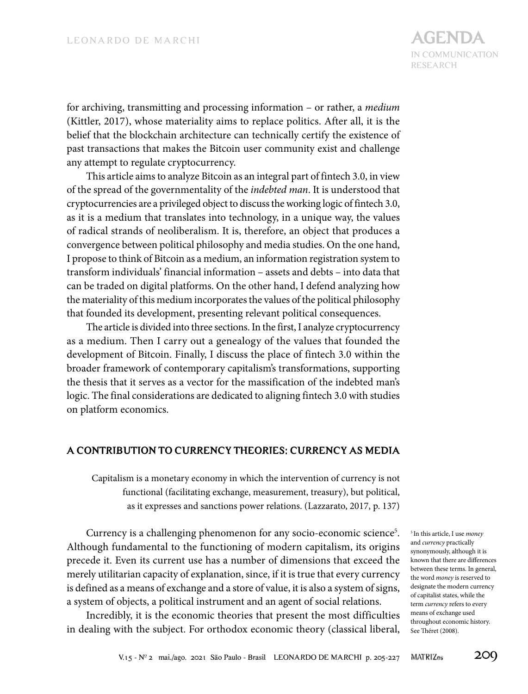for archiving, transmitting and processing information – or rather, a *medium*  (Kittler, 2017), whose materiality aims to replace politics. After all, it is the belief that the blockchain architecture can technically certify the existence of past transactions that makes the Bitcoin user community exist and challenge any attempt to regulate cryptocurrency.

This article aims to analyze Bitcoin as an integral part of fintech 3.0, in view of the spread of the governmentality of the *indebted man*. It is understood that cryptocurrencies are a privileged object to discuss the working logic of fintech 3.0, as it is a medium that translates into technology, in a unique way, the values of radical strands of neoliberalism. It is, therefore, an object that produces a convergence between political philosophy and media studies. On the one hand, I propose to think of Bitcoin as a medium, an information registration system to transform individuals' financial information – assets and debts – into data that can be traded on digital platforms. On the other hand, I defend analyzing how the materiality of this medium incorporates the values of the political philosophy that founded its development, presenting relevant political consequences.

The article is divided into three sections. In the first, I analyze cryptocurrency as a medium. Then I carry out a genealogy of the values that founded the development of Bitcoin. Finally, I discuss the place of fintech 3.0 within the broader framework of contemporary capitalism's transformations, supporting the thesis that it serves as a vector for the massification of the indebted man's logic. The final considerations are dedicated to aligning fintech 3.0 with studies on platform economics.

### **A CONTRIBUTION TO CURRENCY THEORIES: CURRENCY AS MEDIA**

Capitalism is a monetary economy in which the intervention of currency is not functional (facilitating exchange, measurement, treasury), but political, as it expresses and sanctions power relations. (Lazzarato, 2017, p. 137)

Currency is a challenging phenomenon for any socio-economic science<sup>5</sup>. Although fundamental to the functioning of modern capitalism, its origins precede it. Even its current use has a number of dimensions that exceed the merely utilitarian capacity of explanation, since, if it is true that every currency is defined as a means of exchange and a store of value, it is also a system of signs, a system of objects, a political instrument and an agent of social relations.

Incredibly, it is the economic theories that present the most difficulties in dealing with the subject. For orthodox economic theory (classical liberal, <sup>5</sup> In this article, I use *money*  and *currency* practically synonymously, although it is known that there are differences between these terms. In general, the word *money* is reserved to designate the modern currency of capitalist states, while the term *currency* refers to every means of exchange used throughout economic history. See Théret (2008).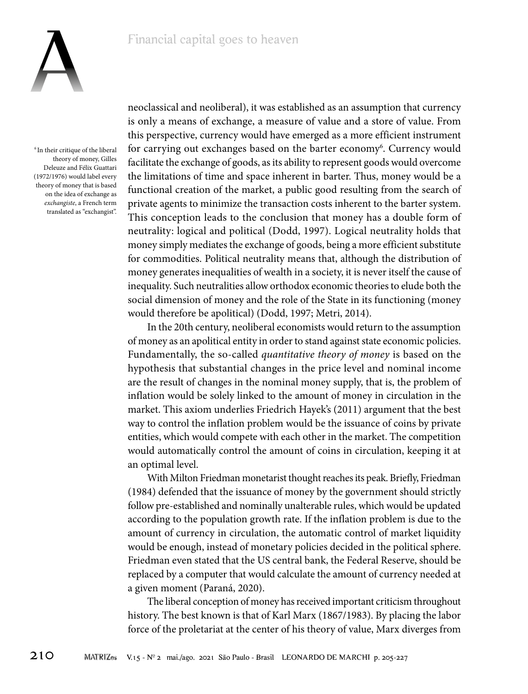

<sup>6</sup> In their critique of the liberal theory of money, Gilles Deleuze and Félix Guattari (1972/1976) would label every theory of money that is based on the idea of exchange as *exchangiste*, a French term translated as "exchangist".

neoclassical and neoliberal), it was established as an assumption that currency is only a means of exchange, a measure of value and a store of value. From this perspective, currency would have emerged as a more efficient instrument for carrying out exchanges based on the barter economy<sup>6</sup>. Currency would facilitate the exchange of goods, as its ability to represent goods would overcome the limitations of time and space inherent in barter. Thus, money would be a functional creation of the market, a public good resulting from the search of private agents to minimize the transaction costs inherent to the barter system. This conception leads to the conclusion that money has a double form of neutrality: logical and political (Dodd, 1997). Logical neutrality holds that money simply mediates the exchange of goods, being a more efficient substitute for commodities. Political neutrality means that, although the distribution of money generates inequalities of wealth in a society, it is never itself the cause of inequality. Such neutralities allow orthodox economic theories to elude both the social dimension of money and the role of the State in its functioning (money would therefore be apolitical) (Dodd, 1997; Metri, 2014).

In the 20th century, neoliberal economists would return to the assumption of money as an apolitical entity in order to stand against state economic policies. Fundamentally, the so-called *quantitative theory of money* is based on the hypothesis that substantial changes in the price level and nominal income are the result of changes in the nominal money supply, that is, the problem of inflation would be solely linked to the amount of money in circulation in the market. This axiom underlies Friedrich Hayek's (2011) argument that the best way to control the inflation problem would be the issuance of coins by private entities, which would compete with each other in the market. The competition would automatically control the amount of coins in circulation, keeping it at an optimal level.

With Milton Friedman monetarist thought reaches its peak. Briefly, Friedman (1984) defended that the issuance of money by the government should strictly follow pre-established and nominally unalterable rules, which would be updated according to the population growth rate. If the inflation problem is due to the amount of currency in circulation, the automatic control of market liquidity would be enough, instead of monetary policies decided in the political sphere. Friedman even stated that the US central bank, the Federal Reserve, should be replaced by a computer that would calculate the amount of currency needed at a given moment (Paraná, 2020).

The liberal conception of money has received important criticism throughout history. The best known is that of Karl Marx (1867/1983). By placing the labor force of the proletariat at the center of his theory of value, Marx diverges from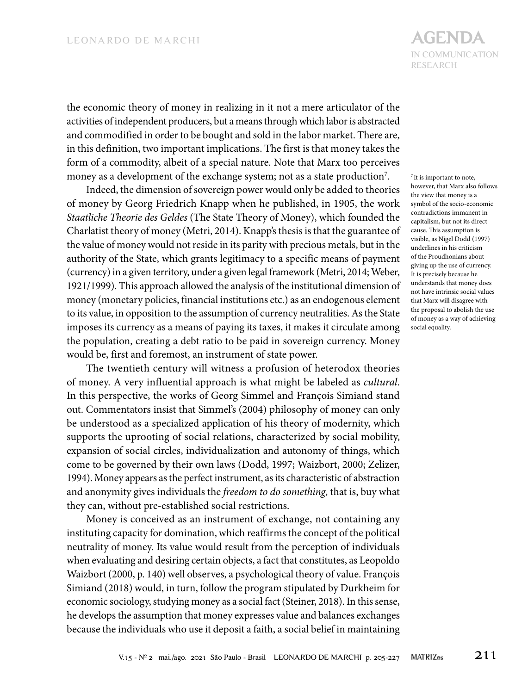the economic theory of money in realizing in it not a mere articulator of the activities of independent producers, but a means through which labor is abstracted and commodified in order to be bought and sold in the labor market. There are, in this definition, two important implications. The first is that money takes the form of a commodity, albeit of a special nature. Note that Marx too perceives money as a development of the exchange system; not as a state production $^7\!$ .

Indeed, the dimension of sovereign power would only be added to theories of money by Georg Friedrich Knapp when he published, in 1905, the work *Staatliche Theorie des Geldes* (The State Theory of Money), which founded the Charlatist theory of money (Metri, 2014). Knapp's thesis is that the guarantee of the value of money would not reside in its parity with precious metals, but in the authority of the State, which grants legitimacy to a specific means of payment (currency) in a given territory, under a given legal framework (Metri, 2014; Weber, 1921/1999). This approach allowed the analysis of the institutional dimension of money (monetary policies, financial institutions etc.) as an endogenous element to its value, in opposition to the assumption of currency neutralities. As the State imposes its currency as a means of paying its taxes, it makes it circulate among the population, creating a debt ratio to be paid in sovereign currency. Money would be, first and foremost, an instrument of state power.

The twentieth century will witness a profusion of heterodox theories of money. A very influential approach is what might be labeled as *cultural*. In this perspective, the works of Georg Simmel and François Simiand stand out. Commentators insist that Simmel's (2004) philosophy of money can only be understood as a specialized application of his theory of modernity, which supports the uprooting of social relations, characterized by social mobility, expansion of social circles, individualization and autonomy of things, which come to be governed by their own laws (Dodd, 1997; Waizbort, 2000; Zelizer, 1994). Money appears as the perfect instrument, as its characteristic of abstraction and anonymity gives individuals the *freedom to do something*, that is, buy what they can, without pre-established social restrictions.

Money is conceived as an instrument of exchange, not containing any instituting capacity for domination, which reaffirms the concept of the political neutrality of money. Its value would result from the perception of individuals when evaluating and desiring certain objects, a fact that constitutes, as Leopoldo Waizbort (2000, p. 140) well observes, a psychological theory of value. François Simiand (2018) would, in turn, follow the program stipulated by Durkheim for economic sociology, studying money as a social fact (Steiner, 2018). In this sense, he develops the assumption that money expresses value and balances exchanges because the individuals who use it deposit a faith, a social belief in maintaining

## IN COMMUNICATION RESEARCH **AGENDA**

<sup>7</sup> It is important to note, however, that Marx also follows the view that money is a symbol of the socio-economic contradictions immanent in capitalism, but not its direct cause. This assumption is visible, as Nigel Dodd (1997) underlines in his criticism of the Proudhonians about giving up the use of currency. It is precisely because he understands that money does not have intrinsic social values that Marx will disagree with the proposal to abolish the use of money as a way of achieving social equality.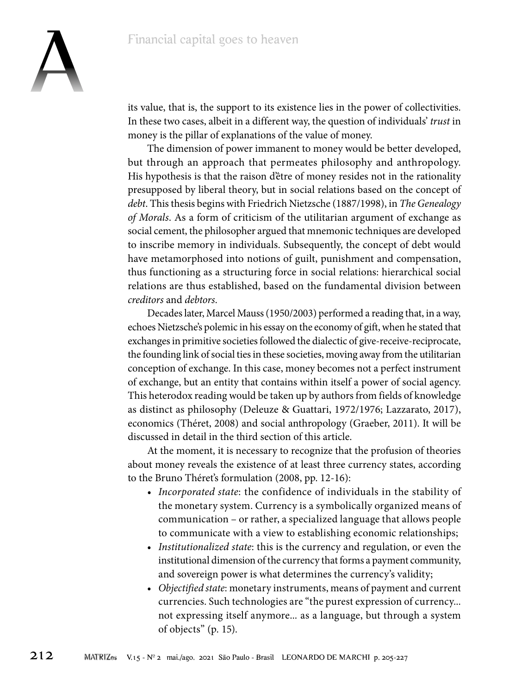

its value, that is, the support to its existence lies in the power of collectivities. In these two cases, albeit in a different way, the question of individuals' *trust* in money is the pillar of explanations of the value of money.

The dimension of power immanent to money would be better developed, but through an approach that permeates philosophy and anthropology. His hypothesis is that the raison d'être of money resides not in the rationality presupposed by liberal theory, but in social relations based on the concept of *debt*. This thesis begins with Friedrich Nietzsche (1887/1998), in *TheGenealogy of Morals*. As a form of criticism of the utilitarian argument of exchange as social cement, the philosopher argued that mnemonic techniques are developed to inscribe memory in individuals. Subsequently, the concept of debt would have metamorphosed into notions of guilt, punishment and compensation, thus functioning as a structuring force in social relations: hierarchical social relations are thus established, based on the fundamental division between *creditors* and *debtors*.

Decades later, Marcel Mauss (1950/2003) performed a reading that, in a way, echoes Nietzsche's polemic in his essay on the economy of gift, when he stated that exchanges in primitive societies followed the dialectic of give-receive-reciprocate, the founding link of social ties in these societies, moving away from the utilitarian conception of exchange. In this case, money becomes not a perfect instrument of exchange, but an entity that contains within itself a power of social agency. This heterodox reading would be taken up by authors from fields of knowledge as distinct as philosophy (Deleuze & Guattari, 1972/1976; Lazzarato, 2017), economics (Théret, 2008) and social anthropology (Graeber, 2011). It will be discussed in detail in the third section of this article.

At the moment, it is necessary to recognize that the profusion of theories about money reveals the existence of at least three currency states, according to the Bruno Théret's formulation (2008, pp. 12-16):

- *Incorporated state*: the confidence of individuals in the stability of the monetary system. Currency is a symbolically organized means of communication – or rather, a specialized language that allows people to communicate with a view to establishing economic relationships;
- *Institutionalized state*: this is the currency and regulation, or even the institutional dimension of the currency that forms a payment community, and sovereign power is what determines the currency's validity;
- *Objectified state*: monetary instruments, means of payment and current currencies. Such technologies are "the purest expression of currency... not expressing itself anymore... as a language, but through a system of objects" (p. 15).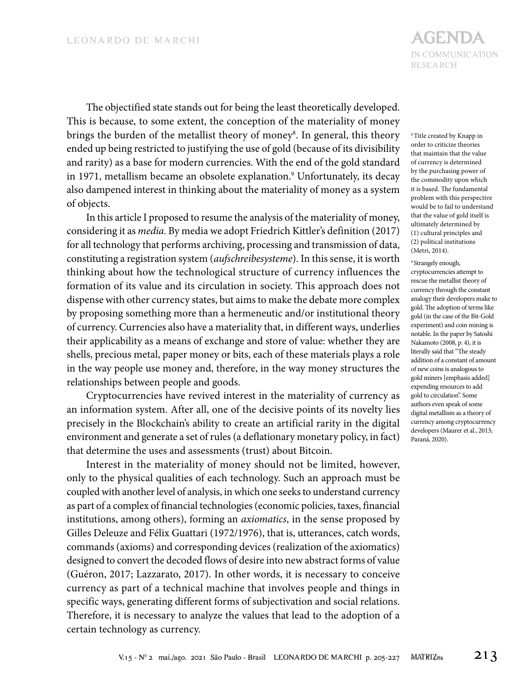IN COMMUNICATION RESEARCH **AGENDA**

The objectified state stands out for being the least theoretically developed. This is because, to some extent, the conception of the materiality of money brings the burden of the metallist theory of money<sup>8</sup>. In general, this theory ended up being restricted to justifying the use of gold (because of its divisibility and rarity) as a base for modern currencies. With the end of the gold standard in 1971, metallism became an obsolete explanation.<sup>9</sup> Unfortunately, its decay also dampened interest in thinking about the materiality of money as a system of objects.

In this article I proposed to resume the analysis of the materiality of money, considering it as *media*. By media we adopt Friedrich Kittler's definition (2017) for all technology that performs archiving, processing and transmission of data, constituting a registration system (*aufschreibesysteme*). In this sense, it is worth thinking about how the technological structure of currency influences the formation of its value and its circulation in society. This approach does not dispense with other currency states, but aims to make the debate more complex by proposing something more than a hermeneutic and/or institutional theory of currency. Currencies also have a materiality that, in different ways, underlies their applicability as a means of exchange and store of value: whether they are shells, precious metal, paper money or bits, each of these materials plays a role in the way people use money and, therefore, in the way money structures the relationships between people and goods.

Cryptocurrencies have revived interest in the materiality of currency as an information system. After all, one of the decisive points of its novelty lies precisely in the Blockchain's ability to create an artificial rarity in the digital environment and generate a set of rules (a deflationary monetary policy, in fact) that determine the uses and assessments (trust) about Bitcoin.

Interest in the materiality of money should not be limited, however, only to the physical qualities of each technology. Such an approach must be coupled with another level of analysis, in which one seeks to understand currency as part of a complex of financial technologies (economic policies, taxes, financial institutions, among others), forming an *axiomatics*, in the sense proposed by Gilles Deleuze and Félix Guattari (1972/1976), that is, utterances, catch words, commands (axioms) and corresponding devices (realization of the axiomatics) designed to convert the decoded flows of desire into new abstract forms of value (Guéron, 2017; Lazzarato, 2017). In other words, it is necessary to conceive currency as part of a technical machine that involves people and things in specific ways, generating different forms of subjectivation and social relations. Therefore, it is necessary to analyze the values that lead to the adoption of a certain technology as currency.

8Title created by Knapp in order to criticize theories that maintain that the value of currency is determined by the purchasing power of the commodity upon which it is based. The fundamental problem with this perspective would be to fail to understand that the value of gold itself is ultimately determined by (1) cultural principles and (2) political institutions (Metri, 2014).

#### <sup>9</sup> Strangely enough,

cryptocurrencies attempt to rescue the metallist theory of currency through the constant analogy their developers make to gold. The adoption of terms like gold (in the case of the Bit-Gold experiment) and coin mining is notable. In the paper by Satoshi Nakamoto (2008, p. 4), it is literally said that "The steady addition of a constant of amount of new coins is analogous to gold miners [emphasis added] expending resources to add gold to circulation". Some authors even speak of some digital metallism as a theory of currency among cryptocurrency developers (Maurer et al., 2013; Paraná, 2020).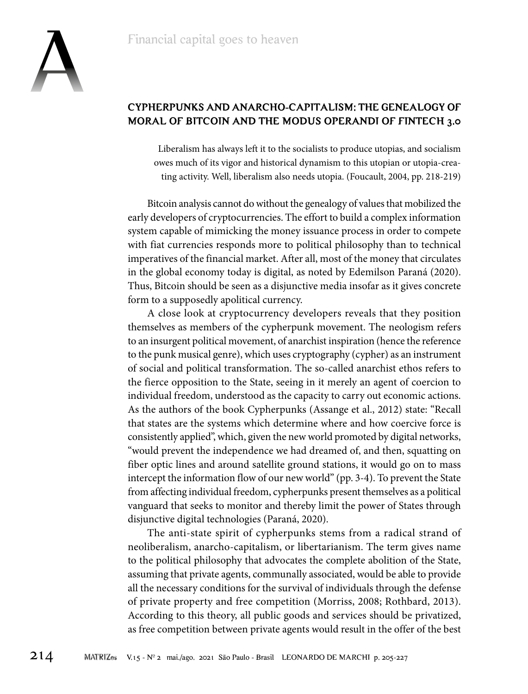

### **CYPHERPUNKS AND ANARCHO-CAPITALISM: THE GENEALOGY OF MORAL OF BITCOIN AND THE MODUS OPERANDI OF FINTECH 3.0**

Liberalism has always left it to the socialists to produce utopias, and socialism owes much of its vigor and historical dynamism to this utopian or utopia-creating activity. Well, liberalism also needs utopia. (Foucault, 2004, pp. 218-219)

Bitcoin analysis cannot do without the genealogy of values that mobilized the early developers of cryptocurrencies. The effort to build a complex information system capable of mimicking the money issuance process in order to compete with fiat currencies responds more to political philosophy than to technical imperatives of the financial market. After all, most of the money that circulates in the global economy today is digital, as noted by Edemilson Paraná (2020). Thus, Bitcoin should be seen as a disjunctive media insofar as it gives concrete form to a supposedly apolitical currency.

A close look at cryptocurrency developers reveals that they position themselves as members of the cypherpunk movement. The neologism refers to an insurgent political movement, of anarchist inspiration (hence the reference to the punk musical genre), which uses cryptography (cypher) as an instrument of social and political transformation. The so-called anarchist ethos refers to the fierce opposition to the State, seeing in it merely an agent of coercion to individual freedom, understood as the capacity to carry out economic actions. As the authors of the book Cypherpunks (Assange et al., 2012) state: "Recall that states are the systems which determine where and how coercive force is consistently applied", which, given the new world promoted by digital networks, "would prevent the independence we had dreamed of, and then, squatting on fiber optic lines and around satellite ground stations, it would go on to mass intercept the information flow of our new world" (pp. 3-4). To prevent the State from affecting individual freedom, cypherpunks present themselves as a political vanguard that seeks to monitor and thereby limit the power of States through disjunctive digital technologies (Paraná, 2020).

The anti-state spirit of cypherpunks stems from a radical strand of neoliberalism, anarcho-capitalism, or libertarianism. The term gives name to the political philosophy that advocates the complete abolition of the State, assuming that private agents, communally associated, would be able to provide all the necessary conditions for the survival of individuals through the defense of private property and free competition (Morriss, 2008; Rothbard, 2013). According to this theory, all public goods and services should be privatized, as free competition between private agents would result in the offer of the best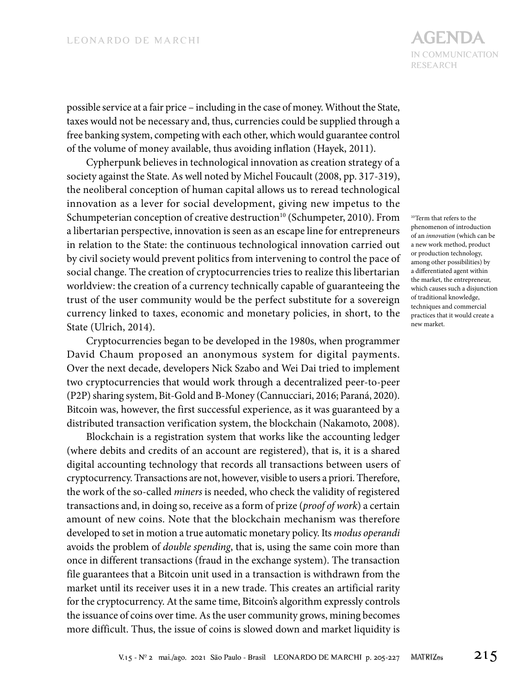possible service at a fair price – including in the case of money. Without the State, taxes would not be necessary and, thus, currencies could be supplied through a free banking system, competing with each other, which would guarantee control of the volume of money available, thus avoiding inflation (Hayek, 2011).

Cypherpunk believes in technological innovation as creation strategy of a society against the State. As well noted by Michel Foucault (2008, pp. 317-319), the neoliberal conception of human capital allows us to reread technological innovation as a lever for social development, giving new impetus to the Schumpeterian conception of creative destruction<sup>10</sup> (Schumpeter, 2010). From a libertarian perspective, innovation is seen as an escape line for entrepreneurs in relation to the State: the continuous technological innovation carried out by civil society would prevent politics from intervening to control the pace of social change. The creation of cryptocurrencies tries to realize this libertarian worldview: the creation of a currency technically capable of guaranteeing the trust of the user community would be the perfect substitute for a sovereign currency linked to taxes, economic and monetary policies, in short, to the State (Ulrich, 2014).

Cryptocurrencies began to be developed in the 1980s, when programmer David Chaum proposed an anonymous system for digital payments. Over the next decade, developers Nick Szabo and Wei Dai tried to implement two cryptocurrencies that would work through a decentralized peer-to-peer (P2P) sharing system, Bit-Gold and B-Money (Cannucciari, 2016; Paraná, 2020). Bitcoin was, however, the first successful experience, as it was guaranteed by a distributed transaction verification system, the blockchain (Nakamoto, 2008).

Blockchain is a registration system that works like the accounting ledger (where debits and credits of an account are registered), that is, it is a shared digital accounting technology that records all transactions between users of cryptocurrency. Transactions are not, however, visible to users a priori. Therefore, the work of the so-called *miners* is needed, who check the validity of registered transactions and, in doing so, receive as a form of prize (*proof of work*) a certain amount of new coins. Note that the blockchain mechanism was therefore developed to set in motion a true automatic monetary policy. Its *modus operandi*  avoids the problem of *double spending*, that is, using the same coin more than once in different transactions (fraud in the exchange system). The transaction file guarantees that a Bitcoin unit used in a transaction is withdrawn from the market until its receiver uses it in a new trade. This creates an artificial rarity for the cryptocurrency. At the same time, Bitcoin's algorithm expressly controls the issuance of coins over time. As the user community grows, mining becomes more difficult. Thus, the issue of coins is slowed down and market liquidity is

10Term that refers to the phenomenon of introduction of an *innovation* (which can be a new work method, product or production technology, among other possibilities) by a differentiated agent within the market, the entrepreneur, which causes such a disjunction of traditional knowledge, techniques and commercial practices that it would create a new market.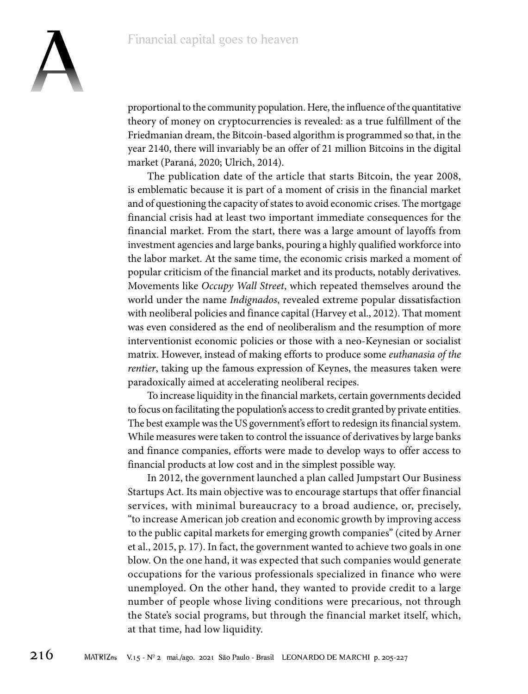

proportional to the community population. Here, the influence of the quantitative theory of money on cryptocurrencies is revealed: as a true fulfillment of the Friedmanian dream, the Bitcoin-based algorithm is programmed so that, in the year 2140, there will invariably be an offer of 21 million Bitcoins in the digital market (Paraná, 2020; Ulrich, 2014).

The publication date of the article that starts Bitcoin, the year 2008, is emblematic because it is part of a moment of crisis in the financial market and of questioning the capacity of states to avoid economic crises. The mortgage financial crisis had at least two important immediate consequences for the financial market. From the start, there was a large amount of layoffs from investment agencies and large banks, pouring a highly qualified workforce into the labor market. At the same time, the economic crisis marked a moment of popular criticism of the financial market and its products, notably derivatives. Movements like *Occupy Wall Street*, which repeated themselves around the world under the name *Indignados*, revealed extreme popular dissatisfaction with neoliberal policies and finance capital (Harvey et al., 2012). That moment was even considered as the end of neoliberalism and the resumption of more interventionist economic policies or those with a neo-Keynesian or socialist matrix. However, instead of making efforts to produce some *euthanasia of the rentier*, taking up the famous expression of Keynes, the measures taken were paradoxically aimed at accelerating neoliberal recipes.

To increase liquidity in the financial markets, certain governments decided to focus on facilitating the population's access to credit granted by private entities. The best example was the US government's effort to redesign its financial system. While measures were taken to control the issuance of derivatives by large banks and finance companies, efforts were made to develop ways to offer access to financial products at low cost and in the simplest possible way.

In 2012, the government launched a plan called Jumpstart Our Business Startups Act. Its main objective was to encourage startups that offer financial services, with minimal bureaucracy to a broad audience, or, precisely, "to increase American job creation and economic growth by improving access to the public capital markets for emerging growth companies" (cited by Arner et al., 2015, p. 17). In fact, the government wanted to achieve two goals in one blow. On the one hand, it was expected that such companies would generate occupations for the various professionals specialized in finance who were unemployed. On the other hand, they wanted to provide credit to a large number of people whose living conditions were precarious, not through the State's social programs, but through the financial market itself, which, at that time, had low liquidity.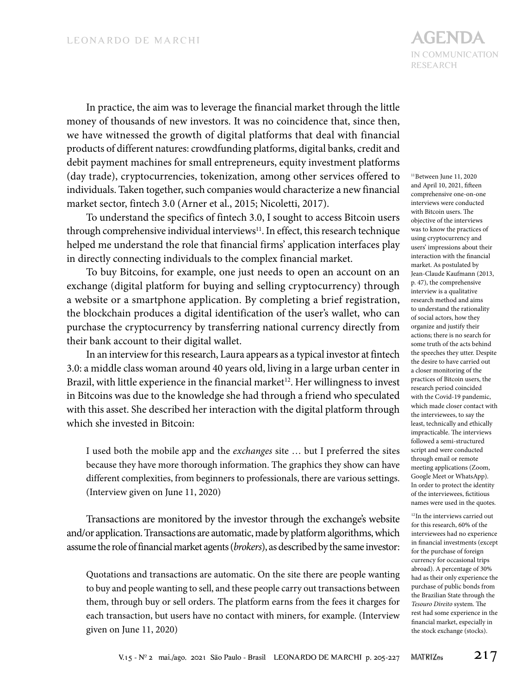In practice, the aim was to leverage the financial market through the little money of thousands of new investors. It was no coincidence that, since then, we have witnessed the growth of digital platforms that deal with financial products of different natures: crowdfunding platforms, digital banks, credit and debit payment machines for small entrepreneurs, equity investment platforms (day trade), cryptocurrencies, tokenization, among other services offered to individuals. Taken together, such companies would characterize a new financial market sector, fintech 3.0 (Arner et al., 2015; Nicoletti, 2017).

To understand the specifics of fintech 3.0, I sought to access Bitcoin users through comprehensive individual interviews<sup>11</sup>. In effect, this research technique helped me understand the role that financial firms' application interfaces play in directly connecting individuals to the complex financial market.

To buy Bitcoins, for example, one just needs to open an account on an exchange (digital platform for buying and selling cryptocurrency) through a website or a smartphone application. By completing a brief registration, the blockchain produces a digital identification of the user's wallet, who can purchase the cryptocurrency by transferring national currency directly from their bank account to their digital wallet.

In an interview for this research, Laura appears as a typical investor at fintech 3.0: a middle class woman around 40 years old, living in a large urban center in Brazil, with little experience in the financial market<sup>12</sup>. Her willingness to invest in Bitcoins was due to the knowledge she had through a friend who speculated with this asset. She described her interaction with the digital platform through which she invested in Bitcoin:

I used both the mobile app and the *exchanges* site … but I preferred the sites because they have more thorough information. The graphics they show can have different complexities, from beginners to professionals, there are various settings. (Interview given on June 11, 2020)

Transactions are monitored by the investor through the exchange's website and/or application. Transactions are automatic, made by platform algorithms, which assume the role of financial market agents (*brokers*), as described by the same investor:

Quotations and transactions are automatic. On the site there are people wanting to buy and people wanting to sell, and these people carry out transactions between them, through buy or sell orders. The platform earns from the fees it charges for each transaction, but users have no contact with miners, for example. (Interview given on June 11, 2020)

 $^{\rm 11}$  Between June 11, 2020 and April 10, 2021, fifteen comprehensive one-on-one interviews were conducted with Bitcoin users. The objective of the interviews was to know the practices of using cryptocurrency and users' impressions about their interaction with the financial market. As postulated by Jean-Claude Kaufmann (2013, p. 47), the comprehensive interview is a qualitative research method and aims to understand the rationality of social actors, how they organize and justify their actions; there is no search for some truth of the acts behind the speeches they utter. Despite the desire to have carried out a closer monitoring of the practices of Bitcoin users, the research period coincided with the Covid-19 pandemic, which made closer contact with the interviewees, to say the least, technically and ethically impracticable. The interviews followed a semi-structured script and were conducted through email or remote meeting applications (Zoom, Google Meet or WhatsApp). In order to protect the identity of the interviewees, fictitious names were used in the quotes.

<sup>12</sup>In the interviews carried out for this research, 60% of the interviewees had no experience in financial investments (except for the purchase of foreign currency for occasional trips abroad). A percentage of 30% had as their only experience the purchase of public bonds from the Brazilian State through the *Tesouro Direito* system. The rest had some experience in the financial market, especially in the stock exchange (stocks).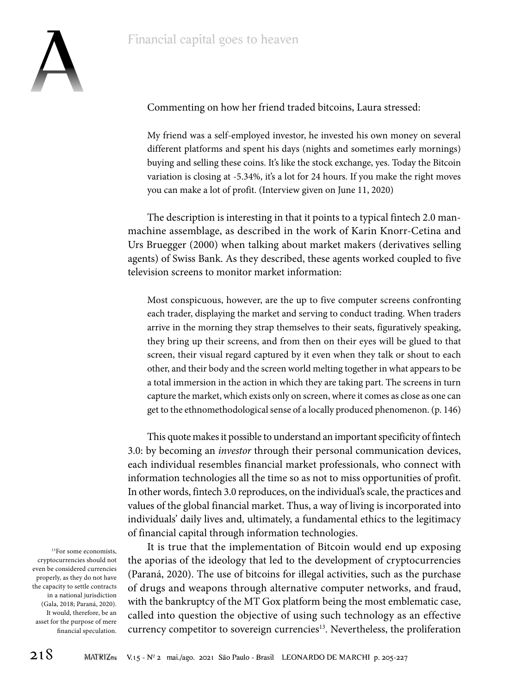

Commenting on how her friend traded bitcoins, Laura stressed:

My friend was a self-employed investor, he invested his own money on several different platforms and spent his days (nights and sometimes early mornings) buying and selling these coins. It's like the stock exchange, yes. Today the Bitcoin variation is closing at -5.34%, it's a lot for 24 hours. If you make the right moves you can make a lot of profit. (Interview given on June 11, 2020)

The description is interesting in that it points to a typical fintech 2.0 manmachine assemblage, as described in the work of Karin Knorr-Cetina and Urs Bruegger (2000) when talking about market makers (derivatives selling agents) of Swiss Bank. As they described, these agents worked coupled to five television screens to monitor market information:

Most conspicuous, however, are the up to five computer screens confronting each trader, displaying the market and serving to conduct trading. When traders arrive in the morning they strap themselves to their seats, figuratively speaking, they bring up their screens, and from then on their eyes will be glued to that screen, their visual regard captured by it even when they talk or shout to each other, and their body and the screen world melting together in what appears to be a total immersion in the action in which they are taking part. The screens in turn capture the market, which exists only on screen, where it comes as close as one can get to the ethnomethodological sense of a locally produced phenomenon. (p. 146)

This quote makes it possible to understand an important specificity of fintech 3.0: by becoming an *investor* through their personal communication devices, each individual resembles financial market professionals, who connect with information technologies all the time so as not to miss opportunities of profit. In other words, fintech 3.0 reproduces, on the individual's scale, the practices and values of the global financial market. Thus, a way of living is incorporated into individuals' daily lives and, ultimately, a fundamental ethics to the legitimacy of financial capital through information technologies.

It is true that the implementation of Bitcoin would end up exposing the aporias of the ideology that led to the development of cryptocurrencies (Paraná, 2020). The use of bitcoins for illegal activities, such as the purchase of drugs and weapons through alternative computer networks, and fraud, with the bankruptcy of the MT Gox platform being the most emblematic case, called into question the objective of using such technology as an effective currency competitor to sovereign currencies<sup>13</sup>. Nevertheless, the proliferation

<sup>13</sup>For some economists, cryptocurrencies should not even be considered currencies properly, as they do not have the capacity to settle contracts in a national jurisdiction (Gala, 2018; Paraná, 2020). It would, therefore, be an asset for the purpose of mere financial speculation.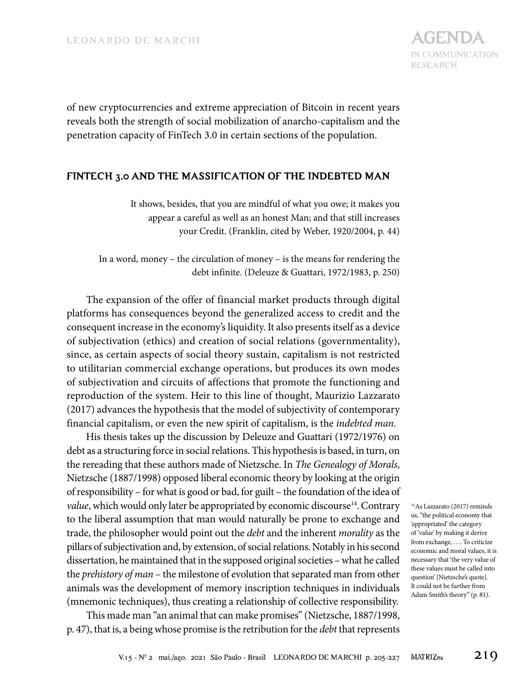

of new cryptocurrencies and extreme appreciation of Bitcoin in recent years reveals both the strength of social mobilization of anarcho-capitalism and the penetration capacity of FinTech 3.0 in certain sections of the population.

### **FINTECH 3.0 AND THE MASSIFICATION OF THE INDEBTED MAN**

It shows, besides, that you are mindful of what you owe; it makes you appear a careful as well as an honest Man; and that still increases your Credit. (Franklin, cited by Weber, 1920/2004, p. 44)

In a word, money – the circulation of money – is the means for rendering the debt infinite. (Deleuze & Guattari, 1972/1983, p. 250)

The expansion of the offer of financial market products through digital platforms has consequences beyond the generalized access to credit and the consequent increase in the economy's liquidity. It also presents itself as a device of subjectivation (ethics) and creation of social relations (governmentality), since, as certain aspects of social theory sustain, capitalism is not restricted to utilitarian commercial exchange operations, but produces its own modes of subjectivation and circuits of affections that promote the functioning and reproduction of the system. Heir to this line of thought, Maurizio Lazzarato (2017) advances the hypothesis that the model of subjectivity of contemporary financial capitalism, or even the new spirit of capitalism, is the *indebted man*.

His thesis takes up the discussion by Deleuze and Guattari (1972/1976) on debt as a structuring force in social relations. This hypothesis is based, in turn, on the rereading that these authors made of Nietzsche. In *The Genealogy of Morals*, Nietzsche (1887/1998) opposed liberal economic theory by looking at the origin of responsibility – for what is good or bad, for guilt – the foundation of the idea of *value*, which would only later be appropriated by economic discourse<sup>14</sup>. Contrary to the liberal assumption that man would naturally be prone to exchange and trade, the philosopher would point out the *debt* and the inherent *morality* as the pillars of subjectivation and, by extension, of social relations. Notably in his second dissertation, he maintained that in the supposed original societies – what he called the *prehistory of man* – the milestone of evolution that separated man from other animals was the development of memory inscription techniques in individuals (mnemonic techniques), thus creating a relationship of collective responsibility.

This made man "an animal that can make promises" (Nietzsche, 1887/1998, p. 47), that is, a being whose promise is the retribution for the *debt* that represents

14As Lazzarato (2017) reminds us, "the political economy that 'appropriated' the category of 'value' by making it derive from exchange, …. To criticize economic and moral values, it is necessary that 'the very value of these values must be called into question' [Nietzsche's quote]. It could not be further from Adam Smith's theory" (p. 81).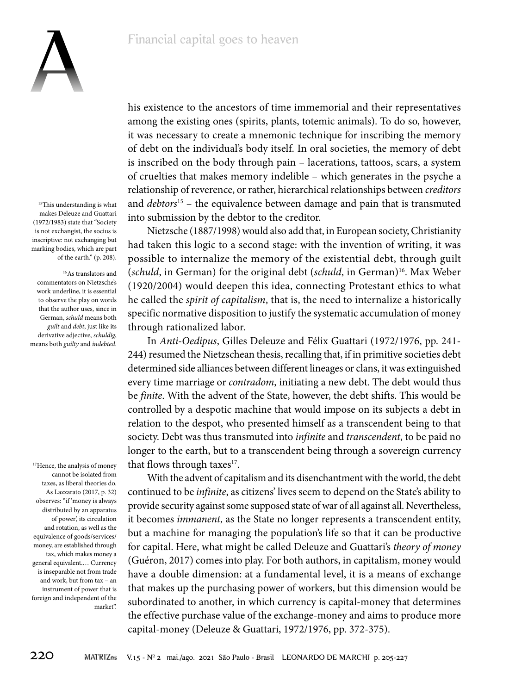### Financial capital goes to heaven



<sup>15</sup>This understanding is what makes Deleuze and Guattari (1972/1983) state that "Society is not exchangist, the socius is inscriptive: not exchanging but marking bodies, which are part of the earth." (p. 208).

16As translators and commentators on Nietzsche's work underline, it is essential to observe the play on words that the author uses, since in German, *schuld* means both *guilt* and *debt*, just like its derivative adjective, *schuldig*, means both *guilty* and *indebted*.

<sup>17</sup>Hence, the analysis of money cannot be isolated from taxes, as liberal theories do. As Lazzarato (2017, p. 32) observes: "if 'money is always distributed by an apparatus of power', its circulation and rotation, as well as the equivalence of goods/services/ money, are established through tax, which makes money a general equivalent.… Currency is inseparable not from trade and work, but from tax – an instrument of power that is foreign and independent of the market". his existence to the ancestors of time immemorial and their representatives among the existing ones (spirits, plants, totemic animals). To do so, however, it was necessary to create a mnemonic technique for inscribing the memory of debt on the individual's body itself. In oral societies, the memory of debt is inscribed on the body through pain – lacerations, tattoos, scars, a system of cruelties that makes memory indelible – which generates in the psyche a relationship of reverence, or rather, hierarchical relationships between *creditors*  and *debtors*<sup>15</sup> – the equivalence between damage and pain that is transmuted into submission by the debtor to the creditor.

Nietzsche (1887/1998) would also add that, in European society, Christianity had taken this logic to a second stage: with the invention of writing, it was possible to internalize the memory of the existential debt, through guilt (*schuld*, in German) for the original debt (*schuld*, in German)<sup>16</sup>. Max Weber (1920/2004) would deepen this idea, connecting Protestant ethics to what he called the *spirit of capitalism*, that is, the need to internalize a historically specific normative disposition to justify the systematic accumulation of money through rationalized labor.

In *Anti-Oedipus*, Gilles Deleuze and Félix Guattari (1972/1976, pp. 241- 244) resumed the Nietzschean thesis, recalling that, if in primitive societies debt determined side alliances between different lineages or clans, it was extinguished every time marriage or *contradom*, initiating a new debt. The debt would thus be *finite*. With the advent of the State, however, the debt shifts. This would be controlled by a despotic machine that would impose on its subjects a debt in relation to the despot, who presented himself as a transcendent being to that society. Debt was thus transmuted into *infinite* and *transcendent*, to be paid no longer to the earth, but to a transcendent being through a sovereign currency that flows through taxes $17$ .

With the advent of capitalism and its disenchantment with the world, the debt continued to be *infinite*, as citizens' lives seem to depend on the State's ability to provide security against some supposed state of war of all against all. Nevertheless, it becomes *immanent*, as the State no longer represents a transcendent entity, but a machine for managing the population's life so that it can be productive for capital. Here, what might be called Deleuze and Guattari's *theory of money*  (Guéron, 2017) comes into play. For both authors, in capitalism, money would have a double dimension: at a fundamental level, it is a means of exchange that makes up the purchasing power of workers, but this dimension would be subordinated to another, in which currency is capital-money that determines the effective purchase value of the exchange-money and aims to produce more capital-money (Deleuze & Guattari, 1972/1976, pp. 372-375).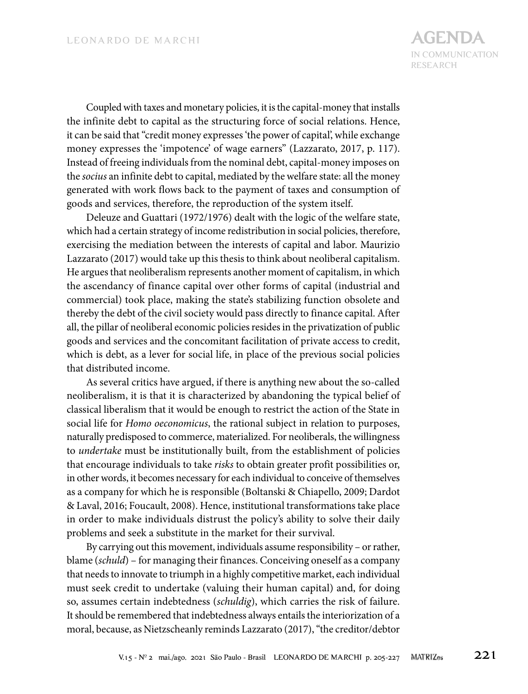Coupled with taxes and monetary policies, it is the capital-money that installs the infinite debt to capital as the structuring force of social relations. Hence, it can be said that "credit money expresses 'the power of capital', while exchange money expresses the 'impotence' of wage earners" (Lazzarato, 2017, p. 117). Instead of freeing individuals from the nominal debt, capital-money imposes on the *socius* an infinite debt to capital, mediated by the welfare state: all the money generated with work flows back to the payment of taxes and consumption of goods and services, therefore, the reproduction of the system itself.

Deleuze and Guattari (1972/1976) dealt with the logic of the welfare state, which had a certain strategy of income redistribution in social policies, therefore, exercising the mediation between the interests of capital and labor. Maurizio Lazzarato (2017) would take up this thesis to think about neoliberal capitalism. He argues that neoliberalism represents another moment of capitalism, in which the ascendancy of finance capital over other forms of capital (industrial and commercial) took place, making the state's stabilizing function obsolete and thereby the debt of the civil society would pass directly to finance capital. After all, the pillar of neoliberal economic policies resides in the privatization of public goods and services and the concomitant facilitation of private access to credit, which is debt, as a lever for social life, in place of the previous social policies that distributed income.

As several critics have argued, if there is anything new about the so-called neoliberalism, it is that it is characterized by abandoning the typical belief of classical liberalism that it would be enough to restrict the action of the State in social life for *Homo oeconomicus*, the rational subject in relation to purposes, naturally predisposed to commerce, materialized. For neoliberals, the willingness to *undertake* must be institutionally built, from the establishment of policies that encourage individuals to take *risks* to obtain greater profit possibilities or, in other words, it becomes necessary for each individual to conceive of themselves as a company for which he is responsible (Boltanski & Chiapello, 2009; Dardot & Laval, 2016; Foucault, 2008). Hence, institutional transformations take place in order to make individuals distrust the policy's ability to solve their daily problems and seek a substitute in the market for their survival.

By carrying out this movement, individuals assume responsibility – or rather, blame (*schuld*) – for managing their finances. Conceiving oneself as a company that needs to innovate to triumph in a highly competitive market, each individual must seek credit to undertake (valuing their human capital) and, for doing so, assumes certain indebtedness (*schuldig*), which carries the risk of failure. It should be remembered that indebtedness always entails the interiorization of a moral, because, as Nietzscheanly reminds Lazzarato (2017), "the creditor/debtor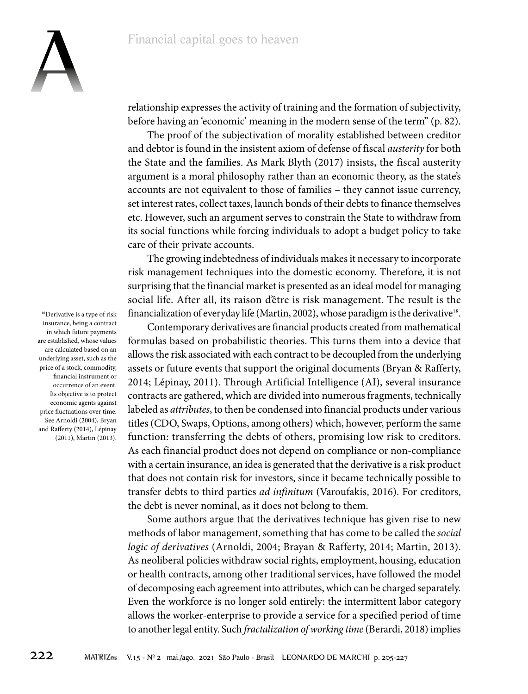

relationship expresses the activity of training and the formation of subjectivity, before having an 'economic' meaning in the modern sense of the term" (p. 82).

The proof of the subjectivation of morality established between creditor and debtor is found in the insistent axiom of defense of fiscal *austerity* for both the State and the families. As Mark Blyth (2017) insists, the fiscal austerity argument is a moral philosophy rather than an economic theory, as the state's accounts are not equivalent to those of families – they cannot issue currency, set interest rates, collect taxes, launch bonds of their debts to finance themselves etc. However, such an argument serves to constrain the State to withdraw from its social functions while forcing individuals to adopt a budget policy to take care of their private accounts.

The growing indebtedness of individuals makes it necessary to incorporate risk management techniques into the domestic economy. Therefore, it is not surprising that the financial market is presented as an ideal model for managing social life. After all, its raison d'être is risk management. The result is the financialization of everyday life (Martin, 2002), whose paradigm is the derivative<sup>18</sup>.

Contemporary derivatives are financial products created from mathematical formulas based on probabilistic theories. This turns them into a device that allows the risk associated with each contract to be decoupled from the underlying assets or future events that support the original documents (Bryan & Rafferty, 2014; Lépinay, 2011). Through Artificial Intelligence (AI), several insurance contracts are gathered, which are divided into numerous fragments, technically labeled as *attributes*, to then be condensed into financial products under various titles (CDO, Swaps, Options, among others) which, however, perform the same function: transferring the debts of others, promising low risk to creditors. As each financial product does not depend on compliance or non-compliance with a certain insurance, an idea is generated that the derivative is a risk product that does not contain risk for investors, since it became technically possible to transfer debts to third parties *ad infinitum* (Varoufakis, 2016). For creditors, the debt is never nominal, as it does not belong to them.

Some authors argue that the derivatives technique has given rise to new methods of labor management, something that has come to be called the *social logic of derivatives* (Arnoldi, 2004; Brayan & Rafferty, 2014; Martin, 2013). As neoliberal policies withdraw social rights, employment, housing, education or health contracts, among other traditional services, have followed the model of decomposing each agreement into attributes, which can be charged separately. Even the workforce is no longer sold entirely: the intermittent labor category allows the worker-enterprise to provide a service for a specified period of time to another legal entity. Such *fractalization of working time* (Berardi, 2018) implies

<sup>18</sup>Derivative is a type of risk insurance, being a contract in which future payments are established, whose values are calculated based on an underlying asset, such as the price of a stock, commodity, financial instrument or occurrence of an event. Its objective is to protect economic agents against price fluctuations over time. See Arnoldi (2004), Bryan and Rafferty (2014), Lépinay (2011), Martin (2013).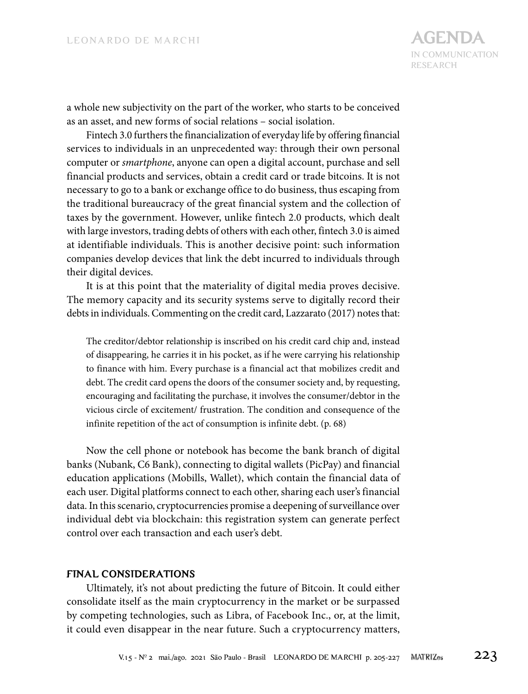a whole new subjectivity on the part of the worker, who starts to be conceived as an asset, and new forms of social relations – social isolation.

Fintech 3.0 furthers the financialization of everyday life by offering financial services to individuals in an unprecedented way: through their own personal computer or *smartphone*, anyone can open a digital account, purchase and sell financial products and services, obtain a credit card or trade bitcoins. It is not necessary to go to a bank or exchange office to do business, thus escaping from the traditional bureaucracy of the great financial system and the collection of taxes by the government. However, unlike fintech 2.0 products, which dealt with large investors, trading debts of others with each other, fintech 3.0 is aimed at identifiable individuals. This is another decisive point: such information companies develop devices that link the debt incurred to individuals through their digital devices.

It is at this point that the materiality of digital media proves decisive. The memory capacity and its security systems serve to digitally record their debts in individuals. Commenting on the credit card, Lazzarato (2017) notes that:

The creditor/debtor relationship is inscribed on his credit card chip and, instead of disappearing, he carries it in his pocket, as if he were carrying his relationship to finance with him. Every purchase is a financial act that mobilizes credit and debt. The credit card opens the doors of the consumer society and, by requesting, encouraging and facilitating the purchase, it involves the consumer/debtor in the vicious circle of excitement/ frustration. The condition and consequence of the infinite repetition of the act of consumption is infinite debt. (p. 68)

Now the cell phone or notebook has become the bank branch of digital banks (Nubank, C6 Bank), connecting to digital wallets (PicPay) and financial education applications (Mobills, Wallet), which contain the financial data of each user. Digital platforms connect to each other, sharing each user's financial data. In this scenario, cryptocurrencies promise a deepening of surveillance over individual debt via blockchain: this registration system can generate perfect control over each transaction and each user's debt.

### **FINAL CONSIDERATIONS**

Ultimately, it's not about predicting the future of Bitcoin. It could either consolidate itself as the main cryptocurrency in the market or be surpassed by competing technologies, such as Libra, of Facebook Inc., or, at the limit, it could even disappear in the near future. Such a cryptocurrency matters,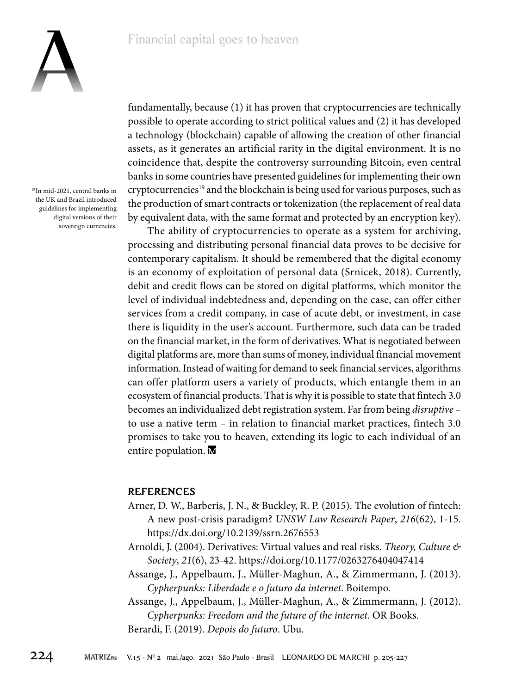

19In mid-2021, central banks in the UK and Brazil introduced guidelines for implementing digital versions of their sovereign currencies.

fundamentally, because (1) it has proven that cryptocurrencies are technically possible to operate according to strict political values and (2) it has developed a technology (blockchain) capable of allowing the creation of other financial assets, as it generates an artificial rarity in the digital environment. It is no coincidence that, despite the controversy surrounding Bitcoin, even central banks in some countries have presented guidelines for implementing their own cryptocurrencies<sup>19</sup> and the blockchain is being used for various purposes, such as the production of smart contracts or tokenization (the replacement of real data by equivalent data, with the same format and protected by an encryption key).

The ability of cryptocurrencies to operate as a system for archiving, processing and distributing personal financial data proves to be decisive for contemporary capitalism. It should be remembered that the digital economy is an economy of exploitation of personal data (Srnicek, 2018). Currently, debit and credit flows can be stored on digital platforms, which monitor the level of individual indebtedness and, depending on the case, can offer either services from a credit company, in case of acute debt, or investment, in case there is liquidity in the user's account. Furthermore, such data can be traded on the financial market, in the form of derivatives. What is negotiated between digital platforms are, more than sums of money, individual financial movement information. Instead of waiting for demand to seek financial services, algorithms can offer platform users a variety of products, which entangle them in an ecosystem of financial products. That is why it is possible to state that fintech 3.0 becomes an individualized debt registration system. Far from being *disruptive* – to use a native term – in relation to financial market practices, fintech 3.0 promises to take you to heaven, extending its logic to each individual of an entire population. M

### **REFERENCES**

- Arner, D. W., Barberis, J. N., & Buckley, R. P. (2015). The evolution of fintech: A new post-crisis paradigm? *UNSW Law Research Paper*, *216*(62), 1-15. https://dx.doi.org/10.2139/ssrn.2676553
- Arnoldi, J. (2004). Derivatives: Virtual values and real risks. *Theory, Culture & Society*, *21*(6), 23-42. https://doi.org/10.1177/0263276404047414
- Assange, J., Appelbaum, J., Müller-Maghun, A., & Zimmermann, J. (2013). *Cypherpunks: Liberdade e o futuro da internet*. Boitempo.

Assange, J., Appelbaum, J., Müller-Maghun, A., & Zimmermann, J. (2012). *Cypherpunks: Freedom and the future of the internet*. OR Books.

Berardi, F. (2019). *Depois do futuro*. Ubu.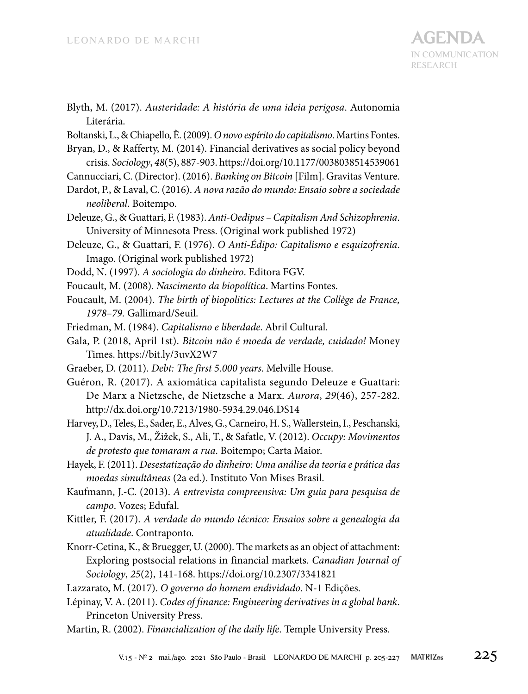- Blyth, M. (2017). *Austeridade: A história de uma ideia perigosa*. Autonomia Literária.
- Boltanski, L., & Chiapello, È. (2009). *O novo espírito do capitalismo*. Martins Fontes.
- Bryan, D., & Rafferty, M. (2014). Financial derivatives as social policy beyond crisis. *Sociology*, *48*(5), 887-903. https://doi.org/10.1177/0038038514539061
- Cannucciari, C. (Director). (2016). *Banking on Bitcoin* [Film]. Gravitas Venture.
- Dardot, P., & Laval, C. (2016). *A nova razão do mundo: Ensaio sobre a sociedade neoliberal*. Boitempo.
- Deleuze, G., & Guattari, F. (1983). *Anti-Oedipus Capitalism And Schizophrenia*. University of Minnesota Press. (Original work published 1972)
- Deleuze, G., & Guattari, F. (1976). *O Anti-Édipo: Capitalismo e esquizofrenia*. Imago. (Original work published 1972)
- Dodd, N. (1997). *A sociologia do dinheiro*. Editora FGV.
- Foucault, M. (2008). *Nascimento da biopolítica*. Martins Fontes.
- Foucault, M. (2004). *The birth of biopolitics: Lectures at the Collège de France, 1978–79.* Gallimard/Seuil.
- Friedman, M. (1984). *Capitalismo e liberdade*. Abril Cultural.
- Gala, P. (2018, April 1st). *Bitcoin não é moeda de verdade, cuidado!* Money Times. https://bit.ly/3uvX2W7
- Graeber, D. (2011). *Debt: The first 5.000 years*. Melville House.
- Guéron, R. (2017). A axiomática capitalista segundo Deleuze e Guattari: De Marx a Nietzsche, de Nietzsche a Marx. *Aurora*, *29*(46), 257-282. http://dx.doi.org/10.7213/1980-5934.29.046.DS14
- Harvey, D., Teles, E., Sader, E., Alves, G., Carneiro, H. S., Wallerstein, I., Peschanski, J. A., Davis, M., Žižek, S., Ali, T., & Safatle, V. (2012). *Occupy: Movimentos de protesto que tomaram a rua*. Boitempo; Carta Maior.
- Hayek, F. (2011). *Desestatização do dinheiro: Uma análise da teoria e prática das moedas simultâneas* (2a ed.). Instituto Von Mises Brasil.
- Kaufmann, J.-C. (2013). *A entrevista compreensiva: Um guia para pesquisa de campo*. Vozes; Edufal.
- Kittler, F. (2017). *A verdade do mundo técnico: Ensaios sobre a genealogia da atualidade*. Contraponto.
- Knorr-Cetina, K., & Bruegger, U. (2000). The markets as an object of attachment: Exploring postsocial relations in financial markets. *Canadian Journal of Sociology*, *25*(2), 141-168. https://doi.org/10.2307/3341821
- Lazzarato, M. (2017). *O governo do homem endividado*. N-1 Edições.
- Lépinay, V. A. (2011). *Codes of finance: Engineering derivatives in a global bank*. Princeton University Press.
- Martin, R. (2002). *Financialization of the daily life*. Temple University Press.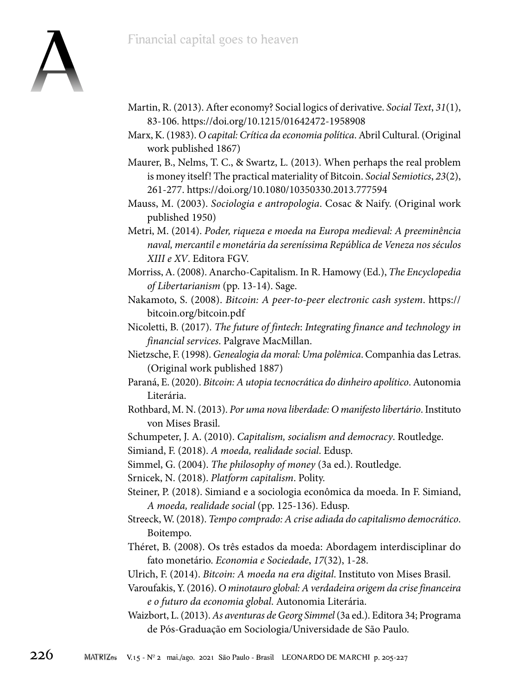

- Martin, R. (2013). After economy? Social logics of derivative. *Social Text*, *31*(1), 83-106. https://doi.org/10.1215/01642472-1958908
- Marx, K. (1983). *O capital: Crítica da economia política*. Abril Cultural. (Original work published 1867)
- Maurer, B., Nelms, T. C., & Swartz, L. (2013). When perhaps the real problem is money itself! The practical materiality of Bitcoin. *Social Semiotics*, *23*(2), 261-277. https://doi.org/10.1080/10350330.2013.777594
- Mauss, M. (2003). *Sociologia e antropologia*. Cosac & Naify. (Original work published 1950)
- Metri, M. (2014). *Poder, riqueza e moeda na Europa medieval: A preeminência naval, mercantil e monetária da sereníssima República de Veneza nos séculos XIII e XV*. Editora FGV.
- Morriss, A. (2008). Anarcho-Capitalism. In R. Hamowy (Ed.), *The Encyclopedia of Libertarianism* (pp. 13-14). Sage.
- Nakamoto, S. (2008). *Bitcoin: A peer-to-peer electronic cash system*. https:// bitcoin.org/bitcoin.pdf
- Nicoletti, B. (2017). *The future of fintech*: *Integrating finance and technology in financial services*. Palgrave MacMillan.
- Nietzsche, F. (1998). *Genealogia da moral: Uma polêmica*. Companhia das Letras. (Original work published 1887)
- Paraná, E. (2020). *Bitcoin: A utopia tecnocrática do dinheiro apolítico*. Autonomia Literária.
- Rothbard, M. N. (2013). *Por uma nova liberdade: O manifesto libertário*. Instituto von Mises Brasil.
- Schumpeter, J. A. (2010). *Capitalism, socialism and democracy*. Routledge.

Simiand, F. (2018). *A moeda, realidade social*. Edusp.

Simmel, G. (2004). *The philosophy of money* (3a ed.). Routledge.

Srnicek, N. (2018). *Platform capitalism*. Polity.

- Steiner, P. (2018). Simiand e a sociologia econômica da moeda. In F. Simiand, *A moeda, realidade social* (pp. 125-136). Edusp.
- Streeck, W. (2018). *Tempo comprado: A crise adiada do capitalismo democrático*. Boitempo.
- Théret, B. (2008). Os três estados da moeda: Abordagem interdisciplinar do fato monetário. *Economia e Sociedade*, *17*(32), 1-28.
- Ulrich, F. (2014). *Bitcoin: A moeda na era digital*. Instituto von Mises Brasil.
- Varoufakis, Y. (2016). *O minotauro global: A verdadeira origem da crise financeira e o futuro da economia global*. Autonomia Literária.
- Waizbort, L. (2013). *As aventuras de Georg Simmel* (3a ed.). Editora 34; Programa de Pós-Graduação em Sociologia/Universidade de São Paulo.